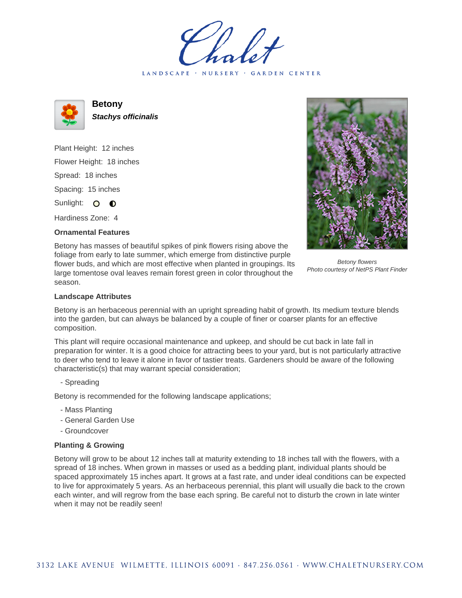LANDSCAPE · NURSERY · GARDEN CENTER



**Betony Stachys officinalis**

Plant Height: 12 inches Flower Height: 18 inches Spread: 18 inches Spacing: 15 inches Sunlight: O **O** 

Hardiness Zone: 4

## **Ornamental Features**



Betony has masses of beautiful spikes of pink flowers rising above the foliage from early to late summer, which emerge from distinctive purple flower buds, and which are most effective when planted in groupings. Its large tomentose oval leaves remain forest green in color throughout the season.

Betony flowers Photo courtesy of NetPS Plant Finder

## **Landscape Attributes**

Betony is an herbaceous perennial with an upright spreading habit of growth. Its medium texture blends into the garden, but can always be balanced by a couple of finer or coarser plants for an effective composition.

This plant will require occasional maintenance and upkeep, and should be cut back in late fall in preparation for winter. It is a good choice for attracting bees to your yard, but is not particularly attractive to deer who tend to leave it alone in favor of tastier treats. Gardeners should be aware of the following characteristic(s) that may warrant special consideration;

- Spreading

Betony is recommended for the following landscape applications;

- Mass Planting
- General Garden Use
- Groundcover

## **Planting & Growing**

Betony will grow to be about 12 inches tall at maturity extending to 18 inches tall with the flowers, with a spread of 18 inches. When grown in masses or used as a bedding plant, individual plants should be spaced approximately 15 inches apart. It grows at a fast rate, and under ideal conditions can be expected to live for approximately 5 years. As an herbaceous perennial, this plant will usually die back to the crown each winter, and will regrow from the base each spring. Be careful not to disturb the crown in late winter when it may not be readily seen!